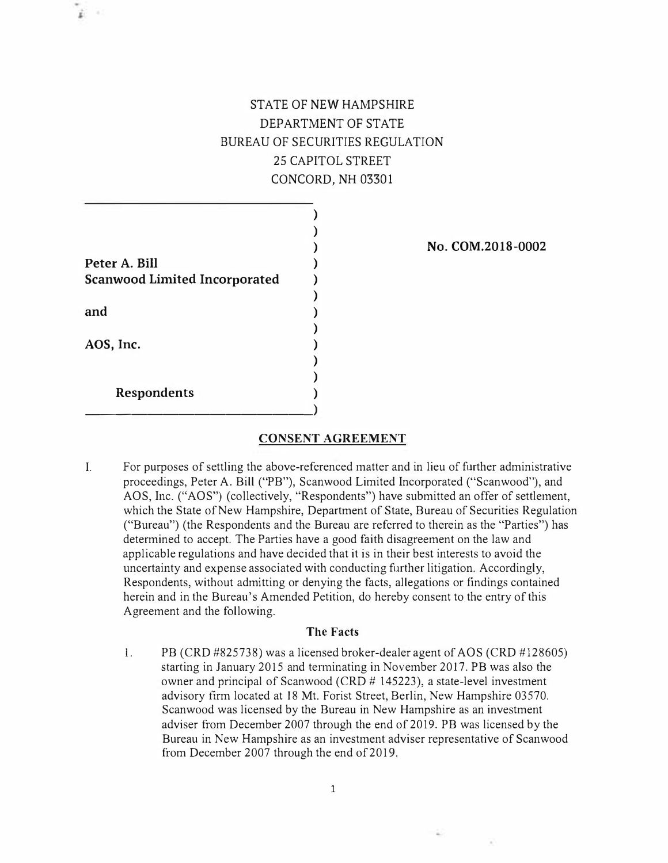## STATE OF NEW HAMPSHIRE DEPARTMENT OF STATE BUREAU OF SECURITIES REGULATION 25 CAPITOL STREET CONCORD, NH 03301

) **)** 

**Peter A. Bill Scanwood Limited Incorporated**  ) ) ) ) **)**  ) **)**  ) **) ) and AOS, Inc. Respondents**  \_\_\_\_\_\_\_\_\_\_\_\_\_\_\_ **)** 

ï.

**No. COM.2018-0002** 

## **CONSENT AGREEMENT**

I. For purposes of settling the above-referenced matter and in lieu of further administrative proceedings, Peter A. Bill ("PB"), Scanwood Limited Incorporated ("Scanwood"), and AOS, Inc. ("AOS") (collectively, "Respondents") have submitted an offer of settlement, which the State of New Hampshire, Department of State, Bureau of Securities Regulation ("Bureau") (the Respondents and the Bureau are referred to therein as the "Parties") has determined to accept. The Parties have a good faith disagreement on the law and applicable regulations and have decided that it is in their best interests to avoid the uncertainty and expense associated with conducting further litigation. Accordingly, Respondents, without admitting or denying the facts, allegations or findings contained herein and in the Bureau's Amended Petition, do hereby consent to the entry of this Agreement and the following.

## **The Facts**

I. PB (CRD #825738) was a licensed broker-dealer agent of AOS (CRD #128605) starting in January 2015 and tenninating in November 2017. PB was also the owner and principal of Scanwood (CRD # 145223), a state-level investment advisory firm located at 18 Mt. Forist Street, Berlin, New Hampshire 03570. Scanwood was licensed by the Bureau in New Hampshire as an investment adviser from December 2007 through the end of 2019. PB was licensed by the Bureau in New Hampshire as an investment adviser representative of Scanwood from December 2007 through the end of 2019.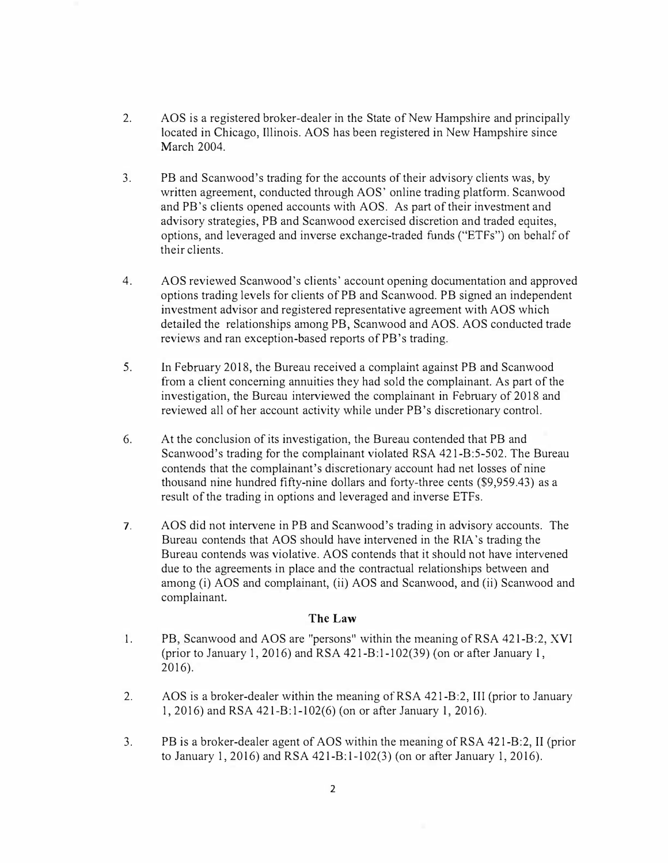- **2. AOS is a registered broker-dealer in the State of New Hampshire and principally located in Chicago, Illinois. AOS has been registered in New Hampshire since March 2004.**
- **3. PB and Scanwood's trading for the accounts of their advisory clients was, by written agreement, conducted through AOS' online trading platform. Scanwood and PB's clients opened accounts with AOS. As part of their investment and advisory strategies, PB and Scanwood exercised discretion and traded equites, options, and leveraged and inverse exchange-traded funds ("ETFs") on behalf of their clients.**
- **4. AOS reviewed Scanwood's clients' account opening documentation and approved options trading levels for clients of PB and Scan wood. PB signed an independent investment advisor and registered representative agreement with AOS which detailed the relationships among PB, Scanwood and AOS. AOS conducted trade reviews and ran exception-based reports of PB 's trading.**
- **5. In February 2018, the Bureau received a complaint against PB and Scanwood from a client concerning annuities they had sold the complainant. As part of the investigation, the Bureau interviewed the complainant in February of 2018 and reviewed all of her account activity while under PB 's discretionary control.**
- **6. At the conclusion of its investigation, the Bureau contended that PB and Scanwood's trading for the complainant violated RSA 421-B:5-502. The Bureau contends that the complainant's discretionary account had net losses of nine thousand nine hundred fifty-nine dollars and forty-three cents (\$9,959.43) as a result of the trading in options and leveraged and inverse ETFs.**
- **7. AOS did not intervene in PB and Scanwood's trading in advisory accounts. The Bureau contends that AOS should have intervened in the RIA 's trading the Bureau contends was violative. AOS contends that it should not have intervened due to the agreements in place and the contractual relationships between and among (i) AOS and complainant, (ii) AOS and Scanwood, and (ii) Scanwood and complainant.**

## **The Law**

- **l. PB, Scanwood and AOS are "persons" within the meaning of RSA 421-B:2, XVI (prior to January 1, 2016) and RSA 421-B: 1-102(39) ( on or after January 1, 2016).**
- **2. AOS is a broker-dealer within the meaning of RSA 421-B:2, III (prior to January 1, 2016) and RSA 421-B:1-102(6) (on or after January 1, 2016).**
- **3. PB is a broker-dealer agent of AOS within the meaning of RSA 421-B:2, II (prior to January 1, 2016) and RSA 421-B:1-102(3) (on or after January 1, 2016).**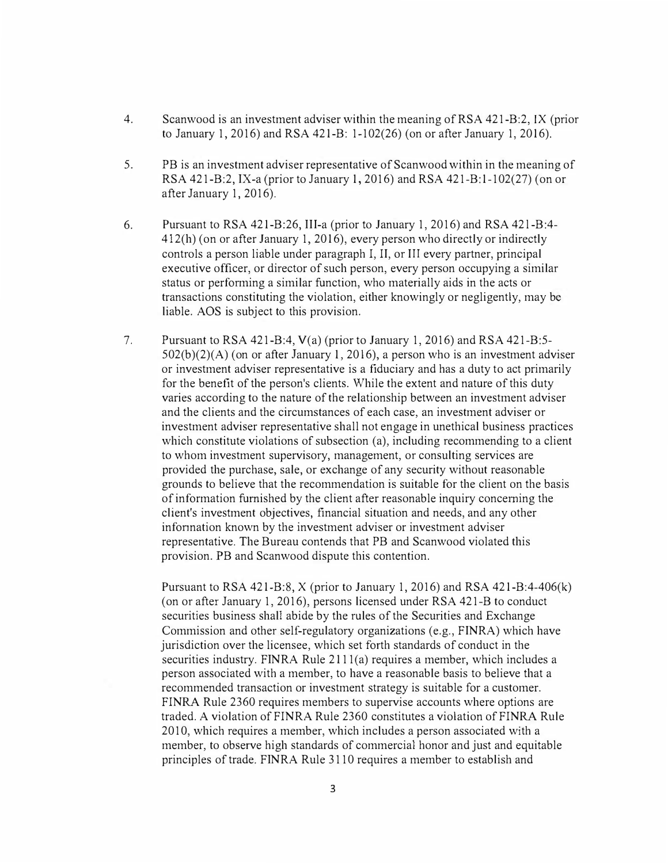- 4. Scanwood is an investment adviser within the meaning of RSA 421-B:2, IX (prior to January 1, 2016) and RSA 421-B: 1-102(26) (on or after January 1, 2016).
- 5. PB is an investment adviser representative of Scanwood within in the meaning of RSA 421-B:2, IX-a (prior to January 1, 2016) and RSA 421-B:1-102(27) (on or after January 1, 2016).
- 6. Pursuant to RSA 421-B:26, III-a (prior to January 1, 2016) and RSA 421-B:4-412(h) ( on or after January 1, 2016), every person who directly or indirectly controls a person liable under paragraph I, II, or III every partner, principal executive officer, or director of such person, every person occupying a similar status or performing a similar function, who materially aids in the acts or transactions constituting the violation, either knowingly or negligently, may be liable. AOS is subject to this provision.
- 7. Pursuant to RSA 421-B:4, V(a) (prior to January 1, 2016) and RSA 421-B:5-  $502(b)(2)(A)$  (on or after January 1, 2016), a person who is an investment adviser or investment adviser representative is a fiduciary and has a duty to act primarily for the benefit of the person's clients. While the extent and nature of this duty varies according to the nature of the relationship between an investment adviser and the clients and the circumstances of each case, an investment adviser or investment adviser representative shall not engage in unethical business practices which constitute violations of subsection (a), including recommending to a client to whom investment supervisory, management, or consulting services are provided the purchase, sale, or exchange of any security without reasonable grounds to believe that the recommendation is suitable for the client on the basis of information furnished by the client after reasonable inquiry concerning the client's investment objectives, financial situation and needs, and any other infonnation known by the investment adviser or investment adviser representative. The Bureau contends that PB and Scanwood violated this provision. PB and Scanwood dispute this contention.

Pursuant to RSA 421-B:8,  $X$  (prior to January 1, 2016) and RSA 421-B:4-406(k) ( on or after January 1, 2016), persons licensed under RSA 421-B to conduct securities business shall abide by the rules of the Securities and Exchange Commission and other self-regulatory organizations (e.g., FINRA) which have jurisdiction over the licensee, which set forth standards of conduct in the securities industry. FINRA Rule 2111(a) requires a member, which includes a person associated with a member, to have a reasonable basis to believe that a recommended transaction or investment strategy is suitable for a customer. FINRA Rule 2360 requires members to supervise accounts where options are traded. A violation of FINRA Rule 2360 constitutes a violation of FINRA Rule 2010, which requires a member, which includes a person associated with a member, to observe high standards of commercial honor and just and equitable principles of trade. FINRA Rule 3110 requires a member to establish and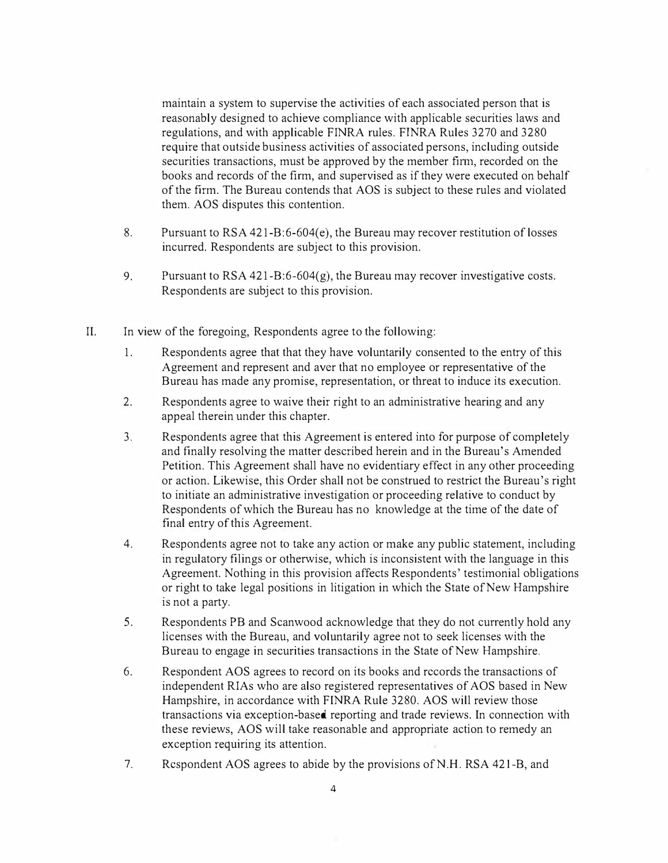maintain a system to supervise the activities of each associated person that is reasonably designed to achieve compliance with applicable securities laws and regulations, and with applicable FINRA rules. FINRA Rules 3270 and 3280 require that outside business activities of associated persons, including outside securities transactions, must be approved by the member firm, recorded on the books and records of the firm, and supervised as if they were executed on behalf of the firm. The Bureau contends that AOS is subject to these rules and violated them. AOS disputes this contention.

- 8. Pursuant to RSA 421-B:6-604(e), the Bureau may recover restitution of losses incurred. Respondents are subject to this provision.
- 9. Pursuant to  $RSA$  421-B:6-604(g), the Bureau may recover investigative costs. Respondents are subject to this provision.
- II. In view of the foregoing, Respondents agree to the following:
	- 1. Respondents agree that that they have voluntarily consented to the entry of this Agreement and represent and aver that no employee or representative of the Bureau has made any promise, representation, or threat to induce its execution.
	- 2. Respondents agree to waive their right to an administrative hearing and any appeal therein under this chapter.
	- 3. Respondents agree that this Agreement is entered into for purpose of completely and finally resolving the matter described herein and in the Bureau's Amended Petition. This Agreement shall have no evidentiary effect in any other proceeding or action. Likewise, this Order shall not be construed to restrict the Bureau's right to initiate an administrative investigation or proceeding relative to conduct by Respondents of which the Bureau has no knowledge at the time of the date of final entry of this Agreement.
	- 4. Respondents agree not to take any action or make any public statement, including in regulatory filings or otherwise, which is inconsistent with the language in this Agreement. Nothing in this provision affects Respondents' testimonial obligations or right to take legal positions in litigation in which the State of New Hampshire is not a party.
	- 5. Respondents PB and Scanwood acknowledge that they do not currently hold any licenses with the Bureau, and voluntarily agree not to seek licenses with the Bureau to engage in securities transactions in the State of New Hampshire.
	- 6. Respondent AOS agrees to record on its books and records the transactions of independent RIAs who are also registered representatives of AOS based in New Hampshire, in accordance with FINRA Rule 3280. AOS will review those transactions via exception-based reporting and trade reviews. In connection with these reviews, AOS will take reasonable and appropriate action to remedy an exception requiring its attention.
	- 7. Respondent AOS agrees to abide by the provisions of N .H. RSA 421-B, and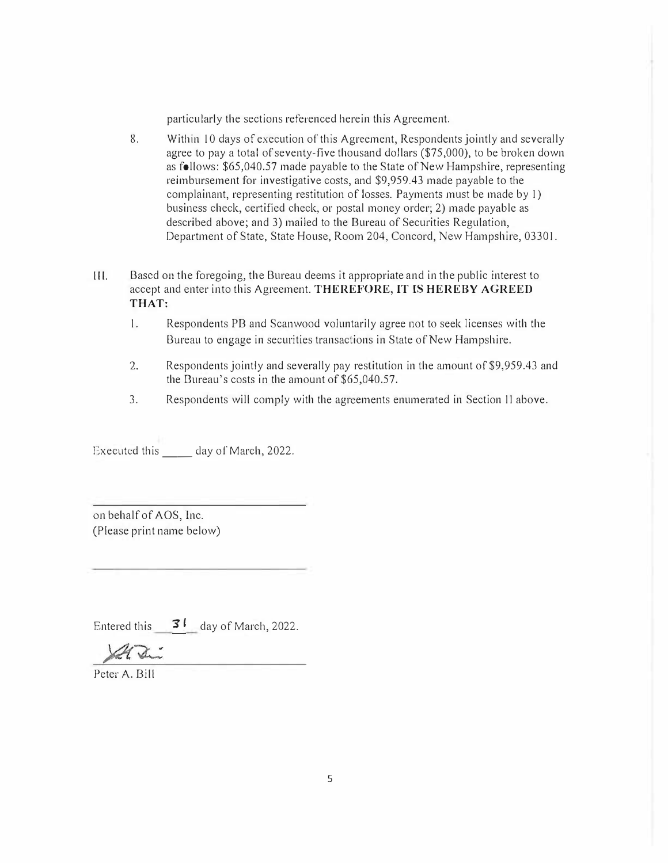particularly the sections referenced herein this Agreement.

- 8. Within 10 days of execution of this Agreement, Respondents jointly and severally agree to pay a total of seventy-five thousand dollars (\$75,000), to be broken down as follows: \$65,040.57 made payable to the State of New Hampshire, representing reimbursement for investigative costs, and \$9,959.43 made payable to the complainant, representing restitution of losses. Payments must be made by I) business check, certified check, or postal money order; 2) made payable as described above; and 3) mailed to the Bureau of Securities Regulation, Department of State, State House, Room 204, Concord, New Hampshire, 0330 I.
- lII. Based on the foregoing, the Bureau deems it appropriate and in the public interest to accept and enter into this Agreement. **THEREFORE,** IT **IS HEREBY AGREED THAT:** 
	- I. Respondents PB and Scanwood voluntarily agree not to seek licenses with the Bureau to engage in securities transactions in State of New Hampshire.
	- 2. Respondents jointly and severally pay restitution in the amount of \$9,959.43 and the Bureau's costs in the amount of \$65,040.57.
	- 3. Respondents will comply with the agreements enumerated in Section II above.

Executed this day of March, 2022.

on behalf of AOS, Inc. (Please print name below)

Entered this  $3^{l}$  day of March, 2022.

Peter A. Bill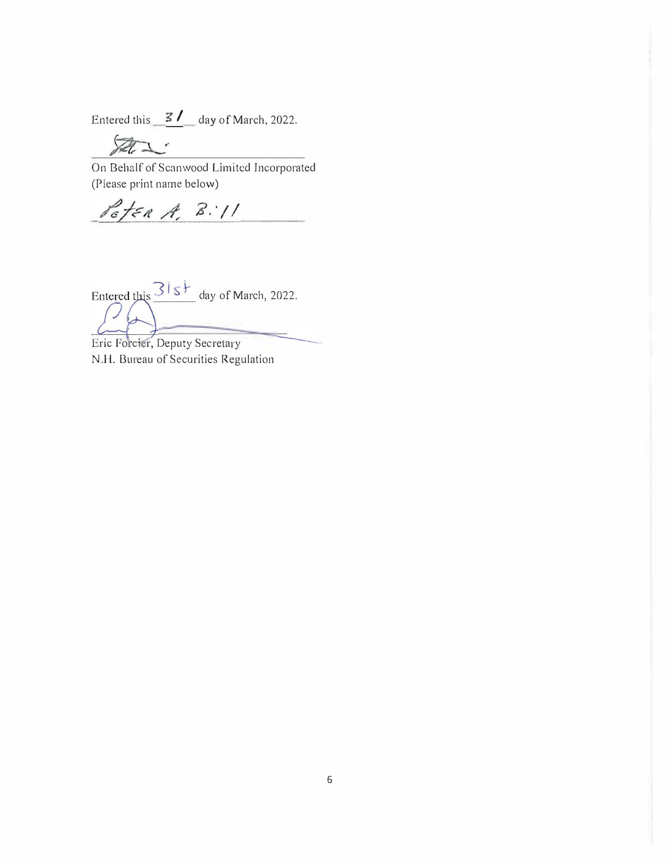Entered this  $\frac{3}{4}$  day of March, 2022.

On Behalf of Scanwood Limited Incorporated (Please print name below)

Peter A. B. 11

Entered this  $\frac{3!s+1}{s+1}$  day of March, 2022.

Eric Forcier, Deputy Secretary N.H. Bureau of Securities Regulation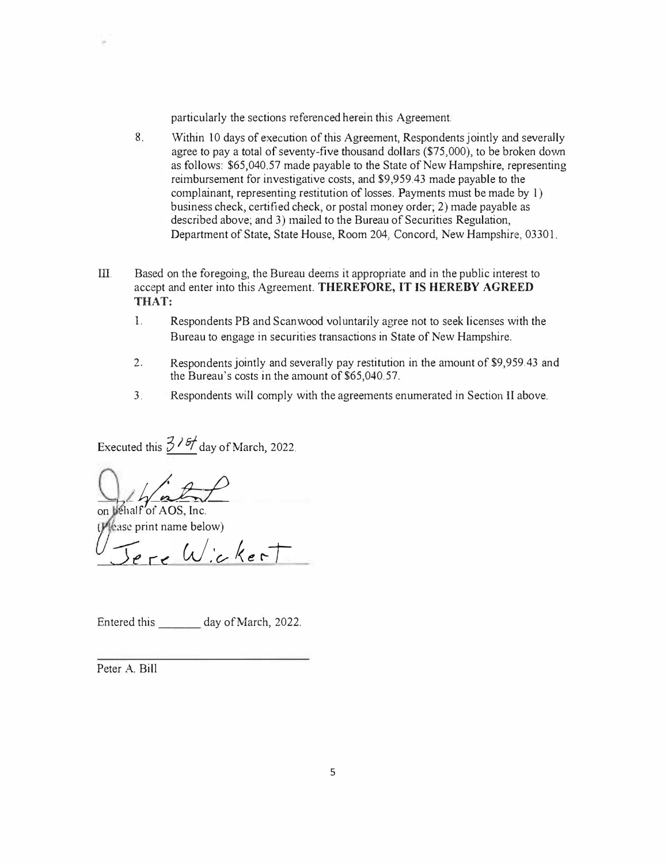particularly the sections referenced herein this Agreement.

- 8. Within 10 days of execution of this Agreement, Respondents jointly and severally agree to pay a total of seventy-five thousand dollars  $(\$75,000)$ , to be broken down as follows: \$65,040.57 made payable to the State of New Hampshire, representing reimbursement for investigative costs, and \$9,959.43 made payable to the complainant, representing restitution of losses. Payments must be made by 1) business check, certified check, or postal money order; 2) made payable as described above; and 3) mailed to the Bureau of Securities Regulation, Department of State, State House, Room 204, Concord, New Hampshire, 03301.
- III. Based on the foregoing, the Bureau deems it appropriate and in the public interest to accept and enter into this Agreement. **THEREFORE, IT IS HEREBY AGREED THAT:** 
	- 1. Respondents PB and Scan wood voluntarily agree not to seek licenses with the Bureau to engage in securities transactions in State of New Hampshire.
	- 2. Respondents jointly and severally pay restitution in the amount of \$9,959.43 and the Bureau's costs in the amount of \$65,040.57.
	- 3. Respondents will comply with the agreements enumerated in Section II above.

Executed this  $\frac{376}{}$  day of March, 2022.

on behalf of AOS, Inc.

*(* 'ase print name below)

 $5$ ere Wickert

Entered this day of March, 2022.

Peter A. Bill